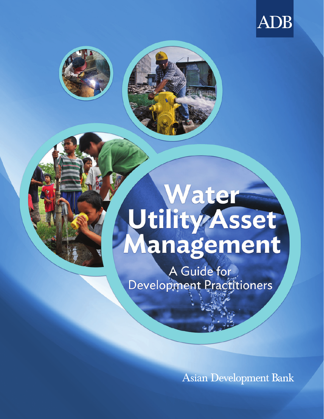





A Guide for Development Practitioners

**Asian Development Bank**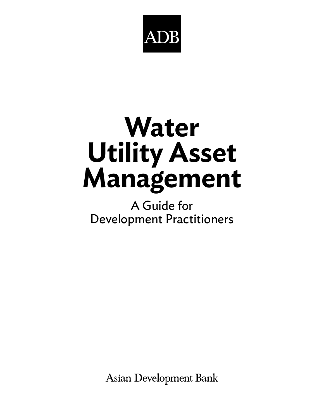

# **Water Utility Asset Management**

## A Guide for Development Practitioners

**Asian Development Bank**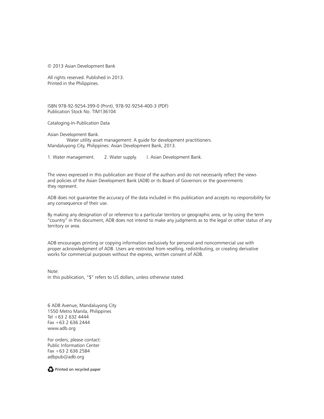© 2013 Asian Development Bank

All rights reserved. Published in 2013. Printed in the Philippines.

ISBN 978-92-9254-399-0 (Print), 978-92-9254-400-3 (PDF) Publication Stock No. TIM136104

Cataloging-In-Publication Data

Asian Development Bank.

Water utility asset management: A guide for development practitioners. Mandaluyong City, Philippines: Asian Development Bank, 2013.

1. Water management. 2. Water supply. I. Asian Development Bank.

The views expressed in this publication are those of the authors and do not necessarily reflect the views and policies of the Asian Development Bank (ADB) or its Board of Governors or the governments they represent.

ADB does not guarantee the accuracy of the data included in this publication and accepts no responsibility for any consequence of their use.

By making any designation of or reference to a particular territory or geographic area, or by using the term "country" in this document, ADB does not intend to make any judgments as to the legal or other status of any territory or area.

ADB encourages printing or copying information exclusively for personal and noncommercial use with proper acknowledgment of ADB. Users are restricted from reselling, redistributing, or creating derivative works for commercial purposes without the express, written consent of ADB.

Note: In this publication, "\$" refers to US dollars, unless otherwise stated.

6 ADB Avenue, Mandaluyong City 1550 Metro Manila, Philippines Tel +63 2 632 4444 Fax +63 2 636 2444 www.adb.org

For orders, please contact: Public Information Center Fax +63 2 636 2584 adbpub@adb.org

Printed on recycled paper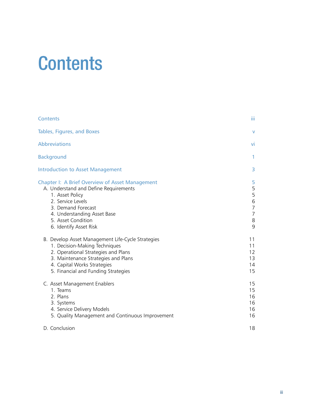# **Contents**

| Contents                                                                                                                                                                                                                                     | Ш                                                       |
|----------------------------------------------------------------------------------------------------------------------------------------------------------------------------------------------------------------------------------------------|---------------------------------------------------------|
| Tables, Figures, and Boxes                                                                                                                                                                                                                   | v                                                       |
| <b>Abbreviations</b>                                                                                                                                                                                                                         | vi                                                      |
| <b>Background</b>                                                                                                                                                                                                                            | 1                                                       |
| <b>Introduction to Asset Management</b>                                                                                                                                                                                                      | 3                                                       |
| <b>Chapter I: A Brief Overview of Asset Management</b><br>A. Understand and Define Requirements<br>1. Asset Policy<br>2. Service Levels<br>3. Demand Forecast<br>4. Understanding Asset Base<br>5. Asset Condition<br>6. Identify Asset Risk | 5<br>5<br>5<br>6<br>7<br>$\overline{7}$<br>$\,8\,$<br>9 |
| B. Develop Asset Management Life-Cycle Strategies<br>1. Decision-Making Techniques<br>2. Operational Strategies and Plans<br>3. Maintenance Strategies and Plans<br>4. Capital Works Strategies<br>5. Financial and Funding Strategies       | 11<br>11<br>12<br>13<br>14<br>15                        |
| C. Asset Management Enablers<br>1. Teams<br>2. Plans<br>3. Systems<br>4. Service Delivery Models<br>5. Quality Management and Continuous Improvement                                                                                         | 15<br>15<br>16<br>16<br>16<br>16                        |
| D. Conclusion                                                                                                                                                                                                                                | 18                                                      |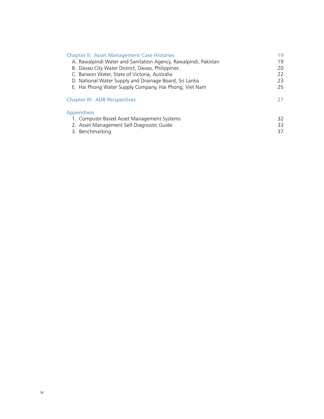| 19 |
|----|
| 19 |
| 20 |
| 22 |
| 23 |
| 25 |
| 27 |
|    |
| 32 |
| 33 |
| 37 |
|    |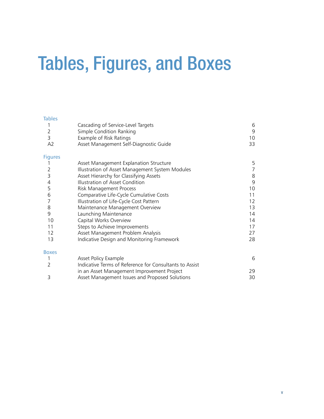# Tables, Figures, and Boxes

#### **Tables**

| 1              | Cascading of Service-Level Targets                      | 6           |
|----------------|---------------------------------------------------------|-------------|
| $\overline{2}$ | Simple Condition Ranking                                | $\mathsf 9$ |
| 3              | Example of Risk Ratings                                 | 10          |
| A2             | Asset Management Self-Diagnostic Guide                  | 33          |
| <b>Figures</b> |                                                         |             |
|                | Asset Management Explanation Structure                  | 5           |
| 2              | Illustration of Asset Management System Modules         | 7           |
| 3              | Asset Hierarchy for Classifying Assets                  | $\,8\,$     |
| 4              | Illustration of Asset Condition                         | $\mathsf 9$ |
| 5              | Risk Management Process                                 | 10          |
| 6              | Comparative Life-Cycle Cumulative Costs                 | 11          |
| 7              | Illustration of Life-Cycle Cost Pattern                 | 12          |
| 8              | Maintenance Management Overview                         | 13          |
| 9              | Launching Maintenance                                   | 14          |
| 10             | Capital Works Overview                                  | 14          |
| 11             | Steps to Achieve Improvements                           | 17          |
| 12             | Asset Management Problem Analysis                       | 27          |
| 13             | Indicative Design and Monitoring Framework              | 28          |
| <b>Boxes</b>   |                                                         |             |
| 1              | Asset Policy Example                                    | 6           |
| 2              | Indicative Terms of Reference for Consultants to Assist |             |
|                | in an Asset Management Improvement Project              | 29          |
| 3              | Asset Management Issues and Proposed Solutions          | 30          |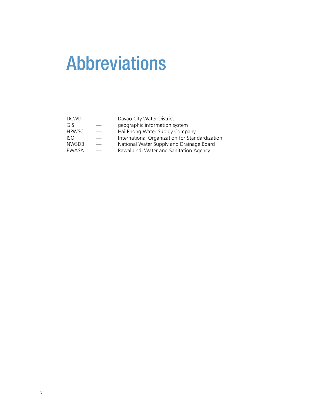# Abbreviations

| <b>DCWD</b>  | Davao City Water District                      |
|--------------|------------------------------------------------|
| GIS          | geographic information system                  |
| <b>HPWSC</b> | Hai Phong Water Supply Company                 |
| ISO          | International Organization for Standardization |
| <b>NWSDB</b> | National Water Supply and Drainage Board       |
| <b>RWASA</b> | Rawalpindi Water and Sanitation Agency         |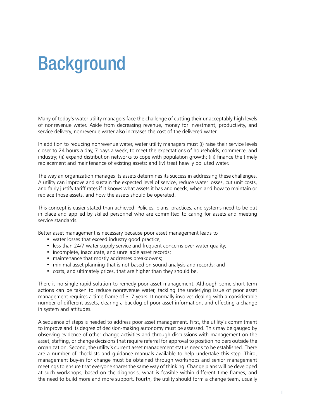# **Background**

Many of today's water utility managers face the challenge of cutting their unacceptably high levels of nonrevenue water. Aside from decreasing revenue, money for investment, productivity, and service delivery, nonrevenue water also increases the cost of the delivered water.

In addition to reducing nonrevenue water, water utility managers must (i) raise their service levels closer to 24 hours a day, 7 days a week, to meet the expectations of households, commerce, and industry; (ii) expand distribution networks to cope with population growth; (iii) finance the timely replacement and maintenance of existing assets; and (iv) treat heavily polluted water.

The way an organization manages its assets determines its success in addressing these challenges. A utility can improve and sustain the expected level of service, reduce water losses, cut unit costs, and fairly justify tariff rates if it knows what assets it has and needs, when and how to maintain or replace those assets, and how the assets should be operated.

This concept is easier stated than achieved. Policies, plans, practices, and systems need to be put in place and applied by skilled personnel who are committed to caring for assets and meeting service standards.

Better asset management is necessary because poor asset management leads to

- water losses that exceed industry good practice;
- less than 24/7 water supply service and frequent concerns over water quality;
- incomplete, inaccurate, and unreliable asset records;
- maintenance that mostly addresses breakdowns;
- minimal asset planning that is not based on sound analysis and records; and
- costs, and ultimately prices, that are higher than they should be.

There is no single rapid solution to remedy poor asset management. Although some short-term actions can be taken to reduce nonrevenue water, tackling the underlying issue of poor asset management requires a time frame of 3–7 years. It normally involves dealing with a considerable number of different assets, clearing a backlog of poor asset information, and effecting a change in system and attitudes.

A sequence of steps is needed to address poor asset management. First, the utility's commitment to improve and its degree of decision-making autonomy must be assessed. This may be gauged by observing evidence of other change activities and through discussions with management on the asset, staffing, or change decisions that require referral for approval to position holders outside the organization. Second, the utility's current asset management status needs to be established. There are a number of checklists and guidance manuals available to help undertake this step. Third, management buy-in for change must be obtained through workshops and senior management meetings to ensure that everyone shares the same way of thinking. Change plans will be developed at such workshops, based on the diagnosis, what is feasible within different time frames, and the need to build more and more support. Fourth, the utility should form a change team, usually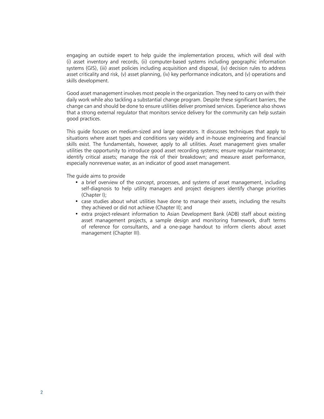engaging an outside expert to help guide the implementation process, which will deal with (i) asset inventory and records, (ii) computer-based systems including geographic information systems (GIS), (iii) asset policies including acquisition and disposal, (iv) decision rules to address asset criticality and risk, (v) asset planning, (iv) key performance indicators, and (v) operations and skills development.

Good asset management involves most people in the organization. They need to carry on with their daily work while also tackling a substantial change program. Despite these significant barriers, the change can and should be done to ensure utilities deliver promised services. Experience also shows that a strong external regulator that monitors service delivery for the community can help sustain good practices.

This guide focuses on medium-sized and large operators. It discusses techniques that apply to situations where asset types and conditions vary widely and in-house engineering and financial skills exist. The fundamentals, however, apply to all utilities. Asset management gives smaller utilities the opportunity to introduce good asset recording systems; ensure regular maintenance; identify critical assets; manage the risk of their breakdown; and measure asset performance, especially nonrevenue water, as an indicator of good asset management.

The quide aims to provide

- a brief overview of the concept, processes, and systems of asset management, including self-diagnosis to help utility managers and project designers identify change priorities (Chapter I);
- case studies about what utilities have done to manage their assets, including the results they achieved or did not achieve (Chapter II); and
- extra project-relevant information to Asian Development Bank (ADB) staff about existing asset management projects, a sample design and monitoring framework, draft terms of reference for consultants, and a one-page handout to inform clients about asset management (Chapter III).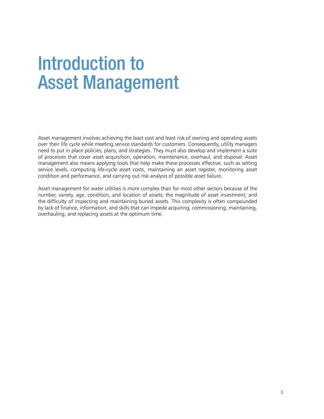# Introduction to Asset Management

Asset management involves achieving the least cost and least risk of owning and operating assets over their life cycle while meeting service standards for customers. Consequently, utility managers need to put in place policies, plans, and strategies. They must also develop and implement a suite of processes that cover asset acquisition, operation, maintenance, overhaul, and disposal. Asset management also means applying tools that help make these processes effective, such as setting service levels, computing life-cycle asset costs, maintaining an asset register, monitoring asset condition and performance, and carrying out risk analysis of possible asset failure.

Asset management for water utilities is more complex than for most other sectors because of the number, variety, age, condition, and location of assets; the magnitude of asset investment; and the difficulty of inspecting and maintaining buried assets. This complexity is often compounded by lack of finance, information, and skills that can impede acquiring, commissioning, maintaining, overhauling, and replacing assets at the optimum time.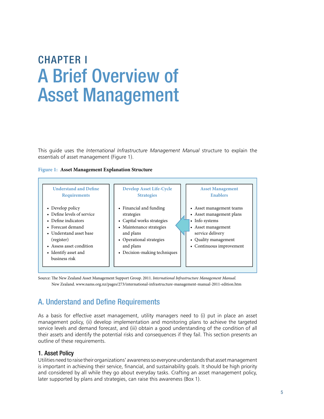# ChApTer I A Brief Overview of Asset Management

This guide uses the *International Infrastructure Management Manual* structure to explain the essentials of asset management (Figure 1).

#### **Figure 1: Asset Management Explanation Structure**



Source: The New Zealand Asset Management Support Group. 2011. *International Infrastructure Management Manual.* New Zealand. www.nams.org.nz/pages/273/international-infrastructure-management-manual-2011-edition.htm

## A. Understand and Define Requirements

As a basis for effective asset management, utility managers need to (i) put in place an asset management policy, (ii) develop implementation and monitoring plans to achieve the targeted service levels and demand forecast, and (iii) obtain a good understanding of the condition of all their assets and identify the potential risks and consequences if they fail. This section presents an outline of these requirements.

#### 1. Asset policy

Utilities need to raise their organizations' awareness so everyone understands that asset management is important in achieving their service, financial, and sustainability goals. It should be high priority and considered by all while they go about everyday tasks. Crafting an asset management policy, later supported by plans and strategies, can raise this awareness (Box 1).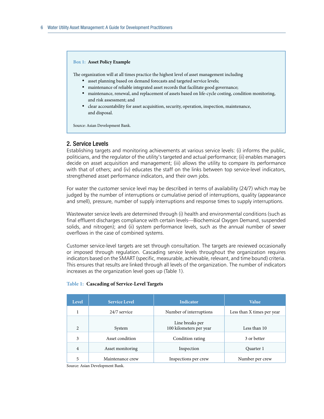#### **Box 1: Asset Policy Example**

The organization will at all times practice the highest level of asset management including

- asset planning based on demand forecasts and targeted service levels;
- maintenance of reliable integrated asset records that facilitate good governance;
- • maintenance, renewal, and replacement of assets based on life-cycle costing, condition monitoring, and risk assessment; and
- • clear accountability for asset acquisition, security, operation, inspection, maintenance, and disposal.

Source: Asian Development Bank.

#### 2. Service Levels

Establishing targets and monitoring achievements at various service levels: (i) informs the public, politicians, and the regulator of the utility's targeted and actual performance; (ii) enables managers decide on asset acquisition and management; (iii) allows the utility to compare its performance with that of others; and (iv) educates the staff on the links between top service-level indicators, strengthened asset performance indicators, and their own jobs.

For water the customer service level may be described in terms of availability (24/7) which may be judged by the number of interruptions or cumulative period of interruptions, quality (appearance and smell), pressure, number of supply interruptions and response times to supply interruptions.

Wastewater service levels are determined through (i) health and environmental conditions (such as final effluent discharges compliance with certain levels—Biochemical Oxygen Demand, suspended solids, and nitrogen); and (ii) system performance levels, such as the annual number of sewer overflows in the case of combined systems.

Customer service-level targets are set through consultation. The targets are reviewed occasionally or imposed through regulation. Cascading service levels throughout the organization requires indicators based on the SMART (specific, measurable, achievable, relevant, and time bound) criteria. This ensures that results are linked through all levels of the organization. The number of indicators increases as the organization level goes up (Table 1).

| Level          | <b>Service Level</b> | <b>Indicator</b>                           | <b>Value</b>               |
|----------------|----------------------|--------------------------------------------|----------------------------|
|                | 24/7 service         | Number of interruptions                    | Less than X times per year |
| $\mathfrak{D}$ | System               | Line breaks per<br>100 kilometers per year | Less than 10               |
| 3              | Asset condition      | Condition rating                           | 3 or better                |
| 4              | Asset monitoring     | Inspection                                 | Quarter 1                  |
| 5              | Maintenance crew     | Inspections per crew                       | Number per crew            |

#### **Table 1: Cascading of Service-Level Targets**

Source: Asian Development Bank.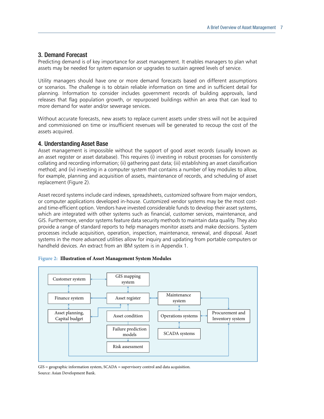#### 3. Demand Forecast

Predicting demand is of key importance for asset management. It enables managers to plan what assets may be needed for system expansion or upgrades to sustain agreed levels of service.

Utility managers should have one or more demand forecasts based on different assumptions or scenarios. The challenge is to obtain reliable information on time and in sufficient detail for planning. Information to consider includes government records of building approvals, land releases that flag population growth, or repurposed buildings within an area that can lead to more demand for water and/or sewerage services.

Without accurate forecasts, new assets to replace current assets under stress will not be acquired and commissioned on time or insufficient revenues will be generated to recoup the cost of the assets acquired.

#### 4. Understanding Asset Base

Asset management is impossible without the support of good asset records (usually known as an asset register or asset database). This requires (i) investing in robust processes for consistently collating and recording information; (ii) gathering past data; (iii) establishing an asset classification method; and (iv) investing in a computer system that contains a number of key modules to allow, for example, planning and acquisition of assets, maintenance of records, and scheduling of asset replacement (Figure 2).

Asset record systems include card indexes, spreadsheets, customized software from major vendors, or computer applications developed in-house. Customized vendor systems may be the most costand time-efficient option. Vendors have invested considerable funds to develop their asset systems, which are integrated with other systems such as financial, customer services, maintenance, and GIS. Furthermore, vendor systems feature data security methods to maintain data quality. They also provide a range of standard reports to help managers monitor assets and make decisions. System processes include acquisition, operation, inspection, maintenance, renewal, and disposal. Asset systems in the more advanced utilities allow for inquiry and updating from portable computers or handheld devices. An extract from an IBM system is in Appendix 1.



**Figure 2: Illustration of Asset Management System Modules**

Source: Asian Development Bank. GIS = geographic information system, SCADA = supervisory control and data acquisition.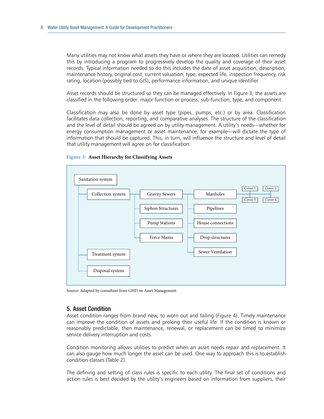Many utilities may not know what assets they have or where they are located. Utilities can remedy this by introducing a program to progressively develop the quality and coverage of their asset records. Typical information needed to do this includes the date of asset acquisition, description, maintenance history, original cost, current valuation, type, expected life, inspection frequency, risk rating, location (possibly tied to GIS), performance information, and unique identifier.

Asset records should be structured so they can be managed effectively. In Figure 3, the assets are classified in the following order: major function or process, sub-function, type, and component.

Classification may also be done by asset type (pipes, pumps, etc.) or by area. Classification facilitates data collection, reporting, and comparative analyses. The structure of the classification and the level of detail should be agreed on by utility management. A utility's needs—whether for energy consumption management or asset maintenance, for example—will dictate the type of information that should be captured. This, in turn, will influence the structure and level of detail that utility management will agree on for classification.



#### **Figure 3: Asset Hierarchy for Classifying Assets**

Source: Adapted by consultant from GHD on Asset Management.

#### 5. Asset Condition

Asset condition ranges from brand new, to worn out and failing (Figure 4). Timely maintenance can improve the condition of assets and prolong their useful life. If the condition is known or reasonably predictable, then maintenance, renewal, or replacement can be timed to minimize service delivery interruption and costs.

Condition monitoring allows utilities to predict when an asset needs repair and replacement. It can also gauge how much longer the asset can be used. One way to approach this is to establish condition classes (Table 2).

The defining and setting of class rules is specific to each utility. The final set of conditions and action rules is best decided by the utility's engineers based on information from suppliers, their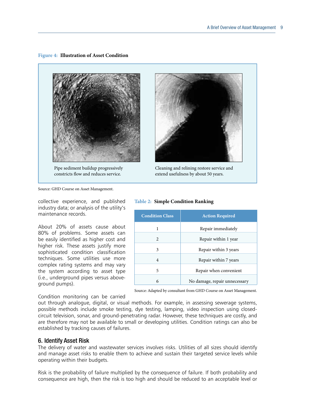#### **Figure 4: Illustration of Asset Condition**



Pipe sediment buildup progressively constricts flow and reduces service.



Source: GHD Course on Asset Management.

collective experience, and published industry data; or analysis of the utility's maintenance records.

About 20% of assets cause about 80% of problems. Some assets can be easily identified as higher cost and higher risk. These assets justify more sophisticated condition classification techniques. Some utilities use more complex rating systems and may vary the system according to asset type (i.e., underground pipes versus aboveground pumps).

#### Condition monitoring can be carried

**Table 2: Simple Condition Ranking**

| <b>Condition Class</b> | <b>Action Required</b>        |  |
|------------------------|-------------------------------|--|
|                        | Repair immediately            |  |
| $\mathfrak{D}$         | Repair within 1 year          |  |
| 3                      | Repair within 3 years         |  |
| $\overline{4}$         | Repair within 7 years         |  |
| 5                      | Repair when convenient        |  |
| 6                      | No damage, repair unnecessary |  |

Source: Adapted by consultant from GHD Course on Asset Management.

out through analogue, digital, or visual methods. For example, in assessing sewerage systems, possible methods include smoke testing, dye testing, lamping, video inspection using closedcircuit television, sonar, and ground-penetrating radar. However, these techniques are costly, and are therefore may not be available to small or developing utilities. Condition ratings can also be established by tracking causes of failures.

#### 6. Identify Asset Risk

The delivery of water and wastewater services involves risks. Utilities of all sizes should identify and manage asset risks to enable them to achieve and sustain their targeted service levels while operating within their budgets.

Risk is the probability of failure multiplied by the consequence of failure. If both probability and consequence are high, then the risk is too high and should be reduced to an acceptable level or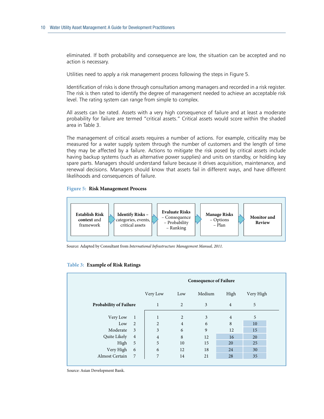eliminated. If both probability and consequence are low, the situation can be accepted and no action is necessary.

Utilities need to apply a risk management process following the steps in Figure 5.

Identification of risks is done through consultation among managers and recorded in a risk register. The risk is then rated to identify the degree of management needed to achieve an acceptable risk level. The rating system can range from simple to complex.

All assets can be rated. Assets with a very high consequence of failure and at least a moderate probability for failure are termed "critical assets." Critical assets would score within the shaded area in Table 3.

The management of critical assets requires a number of actions. For example, criticality may be measured for a water supply system through the number of customers and the length of time they may be affected by a failure. Actions to mitigate the risk posed by critical assets include having backup systems (such as alternative power supplies) and units on standby, or holding key spare parts. Managers should understand failure because it drives acquisition, maintenance, and renewal decisions. Managers should know that assets fail in different ways, and have different likelihoods and consequences of failure.

#### **Figure 5: Risk Management Process**



Source: Adapted by Consultant from *International Infrastructure Management Manual, 2011.*

#### **Table 3: Example of Risk Ratings**

|                               |                | <b>Consequence of Failure</b> |                |        |                |           |
|-------------------------------|----------------|-------------------------------|----------------|--------|----------------|-----------|
|                               |                | Very Low                      | Low            | Medium | High           | Very High |
| <b>Probability of Failure</b> |                | 1                             | 2              | 3      | $\overline{4}$ | 5         |
| Very Low                      | $\overline{1}$ | 1                             | 2              | 3      | $\overline{4}$ | 5         |
| Low                           | 2              | $\overline{2}$                | $\overline{4}$ | 6      | 8              | 10        |
| Moderate                      | $\overline{3}$ | 3                             | 6              | 9      | 12             | 15        |
| Quite Likely                  | $\overline{4}$ | $\overline{4}$                | 8              | 12     | 16             | 20        |
| High                          | 5              | 5                             | 10             | 15     | 20             | 25        |
| Very High                     | 6              | 6                             | 12             | 18     | 24             | 30        |
| Almost Certain                | 7              | 7                             | 14             | 21     | 28             | 35        |
|                               |                |                               |                |        |                |           |

Source: Asian Development Bank.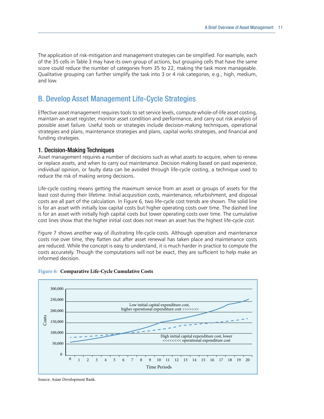The application of risk-mitigation and management strategies can be simplified. For example, each of the 35 cells in Table 3 may have its own group of actions, but grouping cells that have the same score could reduce the number of categories from 35 to 22, making the task more manageable. Qualitative grouping can further simplify the task into 3 or 4 risk categories, e.g., high, medium, and low.

### B. Develop Asset Management Life-Cycle Strategies

Effective asset management requires tools to set service levels, compute whole-of-life asset costing, maintain an asset register, monitor asset condition and performance, and carry out risk analysis of possible asset failure. Useful tools or strategies include decision-making techniques, operational strategies and plans, maintenance strategies and plans, capital works strategies, and financial and funding strategies.

#### 1. Decision-Making Techniques

Asset management requires a number of decisions such as what assets to acquire, when to renew or replace assets, and when to carry out maintenance. Decision making based on past experience, individual opinion, or faulty data can be avoided through life-cycle costing, a technique used to reduce the risk of making wrong decisions.

Life-cycle costing means getting the maximum service from an asset or groups of assets for the least cost during their lifetime. Initial acquisition costs, maintenance, refurbishment, and disposal costs are all part of the calculation. In Figure 6, two life-cycle cost trends are shown. The solid line is for an asset with initially low capital costs but higher operating costs over time. The dashed line is for an asset with initially high capital costs but lower operating costs over time. The cumulative cost lines show that the higher initial cost does not mean an asset has the highest life-cycle cost.

Figure 7 shows another way of illustrating life-cycle costs. Although operation and maintenance costs rise over time, they flatten out after asset renewal has taken place and maintenance costs are reduced. While the concept is easy to understand, it is much harder in practice to compute the costs accurately. Though the computations will not be exact, they are sufficient to help make an informed decision.



#### **Figure 6: Comparative Life-Cycle Cumulative Costs**

Source: Asian Development Bank.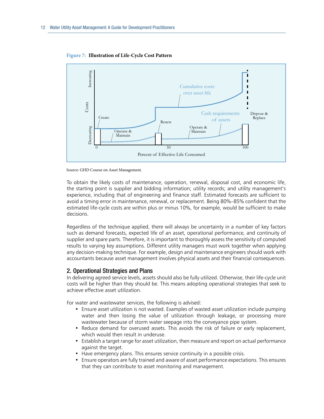

**Figure 7: Illustration of Life-Cycle Cost Pattern**

Source: GHD Course on Asset Management.

To obtain the likely costs of maintenance, operation, renewal, disposal cost, and economic life, the starting point is supplier and bidding information; utility records; and utility management's experience, including that of engineering and finance staff. Estimated forecasts are sufficient to avoid a timing error in maintenance, renewal, or replacement. Being 80%–85% confident that the estimated life-cycle costs are within plus or minus 10%, for example, would be sufficient to make decisions.

Regardless of the technique applied, there will always be uncertainty in a number of key factors such as demand forecasts, expected life of an asset, operational performance, and continuity of supplier and spare parts. Therefore, it is important to thoroughly assess the sensitivity of computed results to varying key assumptions. Different utility managers must work together when applying any decision-making technique. For example, design and maintenance engineers should work with accountants because asset management involves physical assets and their financial consequences.

#### 2. Operational Strategies and plans

In delivering agreed service levels, assets should also be fully utilized. Otherwise, their life-cycle unit costs will be higher than they should be. This means adopting operational strategies that seek to achieve effective asset utilization.

For water and wastewater services, the following is advised:

- Ensure asset utilization is not wasted. Examples of wasted asset utilization include pumping water and then losing the value of utilization through leakage, or processing more wastewater because of storm water seepage into the conveyance pipe system.
- Reduce demand for overused assets. This avoids the risk of failure or early replacement, which would then result in underuse.
- Establish a target range for asset utilization, then measure and report on actual performance against the target.
- Have emergency plans. This ensures service continuity in a possible crisis.
- Ensure operators are fully trained and aware of asset performance expectations. This ensures that they can contribute to asset monitoring and management.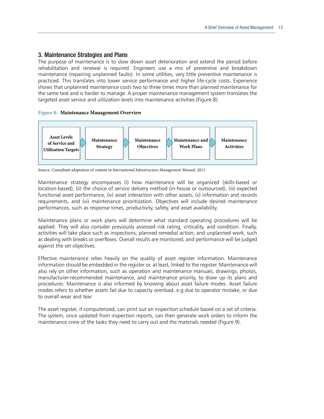#### 3. Maintenance Strategies and plans

The purpose of maintenance is to slow down asset deterioration and extend the period before rehabilitation and renewal is required. Engineers use a mix of preventive and breakdown maintenance (repairing unplanned faults). In some utilities, very little preventive maintenance is practiced. This translates into lower service performance and higher life-cycle costs. Experience shows that unplanned maintenance costs two to three times more than planned maintenance for the same task and is harder to manage. A proper maintenance management system translates the targeted asset service and utilization levels into maintenance activities (Figure 8).

#### **Figure 8: Maintenance Management Overview**



Source: Consultant adaptation of content in *International Infrastructure Management Manual, 2011.*

Maintenance strategy encompasses (i) how maintenance will be organized (skills-based or location-based), (ii) the choice of service delivery method (in-house or outsourced), (iii) expected functional asset performance, (iv) asset interaction with other assets, (v) information and records requirements, and (vi) maintenance prioritization. Objectives will include desired maintenance performances, such as response times, productivity, safety, and asset availability.

Maintenance plans or work plans will determine what standard operating procedures will be applied. They will also consider previously assessed risk rating, criticality, and condition. Finally, activities will take place such as inspections; planned remedial action; and unplanned work, such as dealing with breaks or overflows. Overall results are monitored, and performance will be judged against the set objectives.

Effective maintenance relies heavily on the quality of asset register information. Maintenance information should be embedded in the register or, at least, linked to the register. Maintenance will also rely on other information, such as operation and maintenance manuals, drawings, photos, manufacturer-recommended maintenance, and maintenance priority, to draw up its plans and procedures. Maintenance is also informed by knowing about asset failure modes. Asset failure modes refers to whether assets fail due to capacity overload, e.g due to operator mistake, or due to overall wear and tear.

The asset register, if computerized, can print out an inspection schedule based on a set of criteria. The system, once updated from inspection reports, can then generate work orders to inform the maintenance crew of the tasks they need to carry out and the materials needed (Figure 9).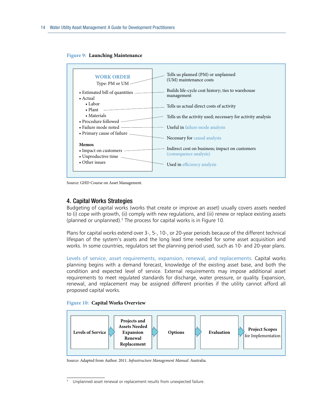#### **Figure 9: Launching Maintenance**



Source: GHD Course on Asset Management.

#### 4. Capital Works Strategies

Budgeting of capital works (works that create or improve an asset) usually covers assets needed to (i) cope with growth, (ii) comply with new regulations, and (iii) renew or replace existing assets (planned or unplanned).1 The process for capital works is in Figure 10.

Plans for capital works extend over 3-, 5-, 10-, or 20-year periods because of the different technical lifespan of the system's assets and the long lead time needed for some asset acquisition and works. In some countries, regulators set the planning period used, such as 10- and 20-year plans.

Levels of service, asset requirements, expansion, renewal, and replacements. Capital works planning begins with a demand forecast, knowledge of the existing asset base, and both the condition and expected level of service. External requirements may impose additional asset requirements to meet regulated standards for discharge, water pressure, or quality. Expansion, renewal, and replacement may be assigned different priorities if the utility cannot afford all proposed capital works.

#### **Figure 10: Capital Works Overview**



Source: Adapted from Author. 2011. *Infrastructure Management Manual*. Australia.

Unplanned asset renewal or replacement results from unexpected failure.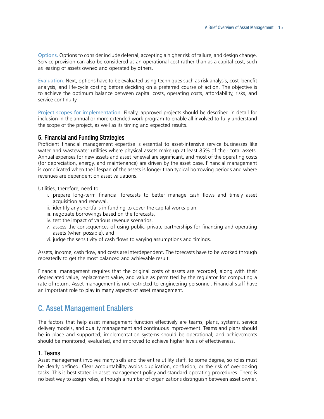Options. Options to consider include deferral, accepting a higher risk of failure, and design change. Service provision can also be considered as an operational cost rather than as a capital cost, such as leasing of assets owned and operated by others.

Evaluation. Next, options have to be evaluated using techniques such as risk analysis, cost–benefit analysis, and life-cycle costing before deciding on a preferred course of action. The objective is to achieve the optimum balance between capital costs, operating costs, affordability, risks, and service continuity.

Project scopes for implementation. Finally, approved projects should be described in detail for inclusion in the annual or more extended work program to enable all involved to fully understand the scope of the project, as well as its timing and expected results.

#### 5. Financial and Funding Strategies

Proficient financial management expertise is essential to asset-intensive service businesses like water and wastewater utilities where physical assets make up at least 85% of their total assets. Annual expenses for new assets and asset renewal are significant, and most of the operating costs (for depreciation, energy, and maintenance) are driven by the asset base. Financial management is complicated when the lifespan of the assets is longer than typical borrowing periods and where revenues are dependent on asset valuations.

Utilities, therefore, need to

- i. prepare long-term financial forecasts to better manage cash flows and timely asset acquisition and renewal,
- ii. identify any shortfalls in funding to cover the capital works plan,
- iii. negotiate borrowings based on the forecasts,
- iv. test the impact of various revenue scenarios,
- v. assess the consequences of using public–private partnerships for financing and operating assets (when possible), and
- vi. judge the sensitivity of cash flows to varying assumptions and timings.

Assets, income, cash flow, and costs are interdependent. The forecasts have to be worked through repeatedly to get the most balanced and achievable result.

Financial management requires that the original costs of assets are recorded, along with their depreciated value, replacement value, and value as permitted by the regulator for computing a rate of return. Asset management is not restricted to engineering personnel. Financial staff have an important role to play in many aspects of asset management.

## **C. Asset Management Enablers**

The factors that help asset management function effectively are teams, plans, systems, service delivery models, and quality management and continuous improvement. Teams and plans should be in place and supported; implementation systems should be operational; and achievements should be monitored, evaluated, and improved to achieve higher levels of effectiveness.

#### 1. Teams

Asset management involves many skills and the entire utility staff, to some degree, so roles must be clearly defined. Clear accountability avoids duplication, confusion, or the risk of overlooking tasks. This is best stated in asset management policy and standard operating procedures. There is no best way to assign roles, although a number of organizations distinguish between asset owner,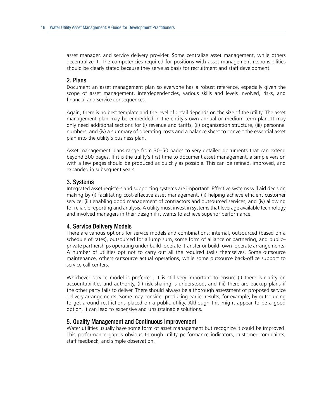asset manager, and service delivery provider. Some centralize asset management, while others decentralize it. The competencies required for positions with asset management responsibilities should be clearly stated because they serve as basis for recruitment and staff development.

#### 2. plans

Document an asset management plan so everyone has a robust reference, especially given the scope of asset management, interdependencies, various skills and levels involved, risks, and financial and service consequences.

Again, there is no best template and the level of detail depends on the size of the utility. The asset management plan may be embedded in the entity's own annual or medium-term plan. It may only need additional sections for (i) revenue and tariffs, (ii) organization structure, (iii) personnel numbers, and (iv) a summary of operating costs and a balance sheet to convert the essential asset plan into the utility's business plan.

Asset management plans range from 30–50 pages to very detailed documents that can extend beyond 300 pages. If it is the utility's first time to document asset management, a simple version with a few pages should be produced as quickly as possible. This can be refined, improved, and expanded in subsequent years.

#### 3. Systems

Integrated asset registers and supporting systems are important. Effective systems will aid decision making by (i) facilitating cost-effective asset management, (ii) helping achieve efficient customer service, (iii) enabling good management of contractors and outsourced services, and (iv) allowing for reliable reporting and analysis. A utility must invest in systems that leverage available technology and involved managers in their design if it wants to achieve superior performance.

#### 4. Service Delivery Models

There are various options for service models and combinations: internal, outsourced (based on a schedule of rates), outsourced for a lump sum, some form of alliance or partnering, and public– private partnerships operating under build–operate–transfer or build–own–operate arrangements. A number of utilities opt not to carry out all the required tasks themselves. Some outsource maintenance, others outsource actual operations, while some outsource back-office support to service call centers.

Whichever service model is preferred, it is still very important to ensure (i) there is clarity on accountabilities and authority, (ii) risk sharing is understood, and (iii) there are backup plans if the other party fails to deliver. There should always be a thorough assessment of proposed service delivery arrangements. Some may consider producing earlier results, for example, by outsourcing to get around restrictions placed on a public utility. Although this might appear to be a good option, it can lead to expensive and unsustainable solutions.

#### 5. Quality Management and Continuous Improvement

Water utilities usually have some form of asset management but recognize it could be improved. This performance gap is obvious through utility performance indicators, customer complaints, staff feedback, and simple observation.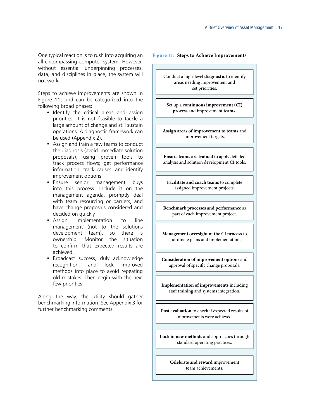One typical reaction is to rush into acquiring an all-encompassing computer system. However, without essential underpinning processes, data, and disciplines in place, the system will not work.

Steps to achieve improvements are shown in Figure 11, and can be categorized into the following broad phases:

- • Identify the critical areas and assign priorities. It is not feasible to tackle a large amount of change and still sustain operations. A diagnostic framework can be used (Appendix 2).
- Assign and train a few teams to conduct the diagnosis (avoid immediate solution proposals), using proven tools to track process flows; get performance information, track causes, and identify improvement options.
- Ensure senior management buys into this process. Include it on the management agenda, promptly deal with team resourcing or barriers, and have change proposals considered and decided on quickly.
- Assign implementation to line management (not to the solutions development team), so there is ownership. Monitor the situation to confirm that expected results are achieved.
- • Broadcast success, duly acknowledge recognition, and lock improved methods into place to avoid repeating old mistakes. Then begin with the next few priorities.

Along the way, the utility should gather benchmarking information. See Appendix 3 for further benchmarking comments.

#### **Figure 11: Steps to Achieve Improvements**

Conduct a high-level **diagnostic** to identify areas needing improvement and set priorities.

Set up a **continuous improvement** (CI) **process** and improvement **teams**.

**Assign areas of improvement to teams** and improvement targets.

**Ensure teams are trained** to apply detailed analysis and solution development **CI** tools.

Facilitate and coach teams to complete assigned improvement projects.

**Benchmark processes and performance** as part of each improvement project.

**Management oversight of the CI process** to coordinate plans and implementation.

**Consideration of improvement options** and approval of specific change proposals.

**Implementation of improvements** including staff training and systems integration.

Post evaluation to check if expected results of improvements were achieved.

Lock in new methods and approaches through standard operating practices.

> **Celebrate and reward** improvement team achievements.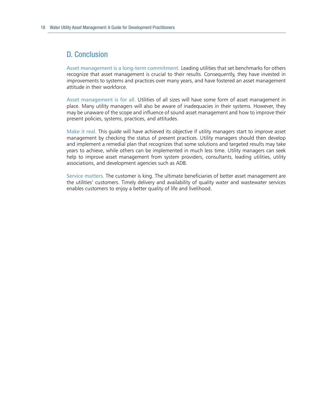### D. Conclusion

Asset management is a long-term commitment. Leading utilities that set benchmarks for others recognize that asset management is crucial to their results. Consequently, they have invested in improvements to systems and practices over many years, and have fostered an asset management attitude in their workforce.

Asset management is for all. Utilities of all sizes will have some form of asset management in place. Many utility managers will also be aware of inadequacies in their systems. However, they may be unaware of the scope and influence of sound asset management and how to improve their present policies, systems, practices, and attitudes.

Make it real. This guide will have achieved its objective if utility managers start to improve asset management by checking the status of present practices. Utility managers should then develop and implement a remedial plan that recognizes that some solutions and targeted results may take years to achieve, while others can be implemented in much less time. Utility managers can seek help to improve asset management from system providers, consultants, leading utilities, utility associations, and development agencies such as ADB.

Service matters. The customer is king. The ultimate beneficiaries of better asset management are the utilities' customers. Timely delivery and availability of quality water and wastewater services enables customers to enjoy a better quality of life and livelihood.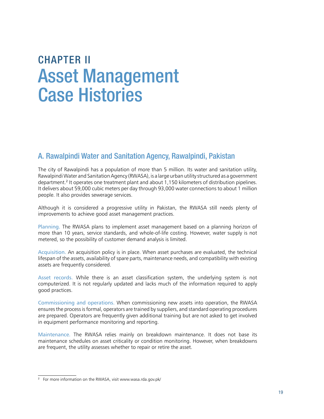## **CHAPTER II** Asset Management **Case Histories**

### A. Rawalpindi Water and Sanitation Agency, Rawalpindi, Pakistan

The city of Rawalpindi has a population of more than 5 million. Its water and sanitation utility, Rawalpindi Water and Sanitation Agency (RWASA), is a large urban utility structured as a government department.2 It operates one treatment plant and about 1,150 kilometers of distribution pipelines. It delivers about 59,000 cubic meters per day through 93,000 water connections to about 1 million people. It also provides sewerage services.

Although it is considered a progressive utility in Pakistan, the RWASA still needs plenty of improvements to achieve good asset management practices.

Planning. The RWASA plans to implement asset management based on a planning horizon of more than 10 years, service standards, and whole-of-life costing. However, water supply is not metered, so the possibility of customer demand analysis is limited.

Acquisition. An acquisition policy is in place. When asset purchases are evaluated, the technical lifespan of the assets, availability of spare parts, maintenance needs, and compatibility with existing assets are frequently considered.

Asset records. While there is an asset classification system, the underlying system is not computerized. It is not regularly updated and lacks much of the information required to apply good practices.

Commissioning and operations. When commissioning new assets into operation, the RWASA ensures the process is formal, operators are trained by suppliers, and standard operating procedures are prepared. Operators are frequently given additional training but are not asked to get involved in equipment performance monitoring and reporting.

Maintenance. The RWASA relies mainly on breakdown maintenance. It does not base its maintenance schedules on asset criticality or condition monitoring. However, when breakdowns are frequent, the utility assesses whether to repair or retire the asset.

<sup>&</sup>lt;sup>2</sup> For more information on the RWASA, visit www.wasa.rda.gov.pk/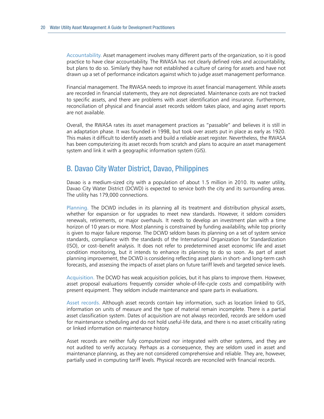Accountability. Asset management involves many different parts of the organization, so it is good practice to have clear accountability. The RWASA has not clearly defined roles and accountability, but plans to do so. Similarly they have not established a culture of caring for assets and have not drawn up a set of performance indicators against which to judge asset management performance.

Financial management. The RWASA needs to improve its asset financial management. While assets are recorded in financial statements, they are not depreciated. Maintenance costs are not tracked to specific assets, and there are problems with asset identification and insurance. Furthermore, reconciliation of physical and financial asset records seldom takes place, and aging asset reports are not available.

Overall, the RWASA rates its asset management practices as "passable" and believes it is still in an adaptation phase. It was founded in 1998, but took over assets put in place as early as 1920. This makes it difficult to identify assets and build a reliable asset register. Nevertheless, the RWASA has been computerizing its asset records from scratch and plans to acquire an asset management system and link it with a geographic information system (GIS).

### B. Davao City Water District, Davao, philippines

Davao is a medium-sized city with a population of about 1.5 million in 2010. Its water utility, Davao City Water District (DCWD) is expected to service both the city and its surrounding areas. The utility has 179,000 connections.

Planning. The DCWD includes in its planning all its treatment and distribution physical assets, whether for expansion or for upgrades to meet new standards. However, it seldom considers renewals, retirements, or major overhauls. It needs to develop an investment plan with a time horizon of 10 years or more. Most planning is constrained by funding availability, while top priority is given to major failure response. The DCWD seldom bases its planning on a set of system service standards, compliance with the standards of the International Organization for Standardization (ISO), or cost–benefit analysis. It does not refer to predetermined asset economic life and asset condition monitoring, but it intends to enhance its planning to do so soon. As part of asset planning improvement, the DCWD is considering reflecting asset plans in short- and long-term cash forecasts, and assessing the impacts of asset plans on future tariff levels and targeted service levels.

Acquisition. The DCWD has weak acquisition policies, but it has plans to improve them. However, asset proposal evaluations frequently consider whole-of-life-cycle costs and compatibility with present equipment. They seldom include maintenance and spare parts in evaluations.

Asset records. Although asset records contain key information, such as location linked to GIS, information on units of measure and the type of material remain incomplete. There is a partial asset classification system. Dates of acquisition are not always recorded, records are seldom used for maintenance scheduling and do not hold useful-life data, and there is no asset criticality rating or linked information on maintenance history.

Asset records are neither fully computerized nor integrated with other systems, and they are not audited to verify accuracy. Perhaps as a consequence, they are seldom used in asset and maintenance planning, as they are not considered comprehensive and reliable. They are, however, partially used in computing tariff levels. Physical records are reconciled with financial records.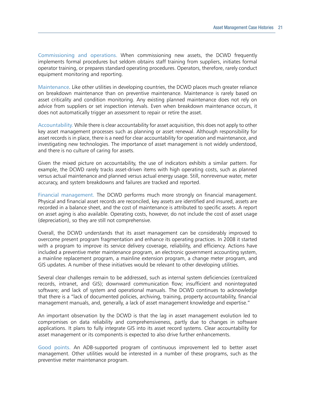Commissioning and operations. When commissioning new assets, the DCWD frequently implements formal procedures but seldom obtains staff training from suppliers, initiates formal operator training, or prepares standard operating procedures. Operators, therefore, rarely conduct equipment monitoring and reporting.

Maintenance. Like other utilities in developing countries, the DCWD places much greater reliance on breakdown maintenance than on preventive maintenance. Maintenance is rarely based on asset criticality and condition monitoring. Any existing planned maintenance does not rely on advice from suppliers or set inspection intervals. Even when breakdown maintenance occurs, it does not automatically trigger an assessment to repair or retire the asset.

Accountability. While there is clear accountability for asset acquisition, this does not apply to other key asset management processes such as planning or asset renewal. Although responsibility for asset records is in place, there is a need for clear accountability for operation and maintenance, and investigating new technologies. The importance of asset management is not widely understood, and there is no culture of caring for assets.

Given the mixed picture on accountability, the use of indicators exhibits a similar pattern. For example, the DCWD rarely tracks asset-driven items with high operating costs, such as planned versus actual maintenance and planned versus actual energy usage. Still, nonrevenue water, meter accuracy, and system breakdowns and failures are tracked and reported.

Financial management. The DCWD performs much more strongly on financial management. Physical and financial asset records are reconciled, key assets are identified and insured, assets are recorded in a balance sheet, and the cost of maintenance is attributed to specific assets. A report on asset aging is also available. Operating costs, however, do not include the cost of asset usage (depreciation), so they are still not comprehensive.

Overall, the DCWD understands that its asset management can be considerably improved to overcome present program fragmentation and enhance its operating practices. In 2008 it started with a program to improve its service delivery coverage, reliability, and efficiency. Actions have included a preventive meter maintenance program, an electronic government accounting system, a mainline replacement program, a mainline extension program, a change meter program, and GIS updates. A number of these initiatives would be relevant to other developing utilities.

Several clear challenges remain to be addressed, such as internal system deficiencies (centralized records, intranet, and GIS); downward communication flow; insufficient and nonintegrated software; and lack of system and operational manuals. The DCWD continues to acknowledge that there is a "lack of documented policies, archiving, training, property accountability, financial management manuals, and, generally, a lack of asset management knowledge and expertise."

An important observation by the DCWD is that the lag in asset management evolution led to compromises on data reliability and comprehensiveness, partly due to changes in software applications. It plans to fully integrate GIS into its asset record systems. Clear accountability for asset management or its components is expected to also drive further enhancements.

Good points. An ADB-supported program of continuous improvement led to better asset management. Other utilities would be interested in a number of these programs, such as the preventive meter maintenance program.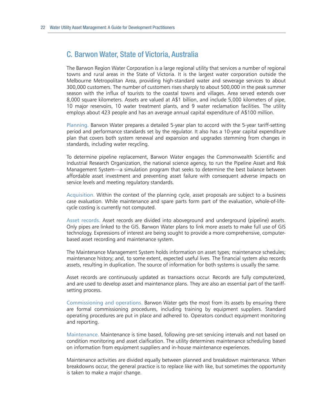### C. Barwon Water, State of Victoria, Australia

The Barwon Region Water Corporation is a large regional utility that services a number of regional towns and rural areas in the State of Victoria. It is the largest water corporation outside the Melbourne Metropolitan Area, providing high-standard water and sewerage services to about 300,000 customers. The number of customers rises sharply to about 500,000 in the peak summer season with the influx of tourists to the coastal towns and villages. Area served extends over 8,000 square kilometers. Assets are valued at A\$1 billion, and include 5,000 kilometers of pipe, 10 major reservoirs, 10 water treatment plants, and 9 water reclamation facilities. The utility employs about 423 people and has an average annual capital expenditure of A\$100 million.

Planning. Barwon Water prepares a detailed 5-year plan to accord with the 5-year tariff-setting period and performance standards set by the regulator. It also has a 10-year capital expenditure plan that covers both system renewal and expansion and upgrades stemming from changes in standards, including water recycling.

To determine pipeline replacement, Barwon Water engages the Commonwealth Scientific and Industrial Research Organization, the national science agency, to run the Pipeline Asset and Risk Management System—a simulation program that seeks to determine the best balance between affordable asset investment and preventing asset failure with consequent adverse impacts on service levels and meeting regulatory standards.

Acquisition. Within the context of the planning cycle, asset proposals are subject to a business case evaluation. While maintenance and spare parts form part of the evaluation, whole-of-lifecycle costing is currently not computed.

Asset records. Asset records are divided into aboveground and underground (pipeline) assets. Only pipes are linked to the GIS. Barwon Water plans to link more assets to make full use of GIS technology. Expressions of interest are being sought to provide a more comprehensive, computerbased asset recording and maintenance system.

The Maintenance Management System holds information on asset types; maintenance schedules; maintenance history; and, to some extent, expected useful lives. The financial system also records assets, resulting in duplication. The source of information for both systems is usually the same.

Asset records are continuously updated as transactions occur. Records are fully computerized, and are used to develop asset and maintenance plans. They are also an essential part of the tariffsetting process.

Commissioning and operations. Barwon Water gets the most from its assets by ensuring there are formal commissioning procedures, including training by equipment suppliers. Standard operating procedures are put in place and adhered to. Operators conduct equipment monitoring and reporting.

Maintenance. Maintenance is time based, following pre-set servicing intervals and not based on condition monitoring and asset claification. The utility determines maintenance scheduling based on information from equipment suppliers and in-house maintenance experiences.

Maintenance activities are divided equally between planned and breakdown maintenance. When breakdowns occur, the general practice is to replace like with like, but sometimes the opportunity is taken to make a major change.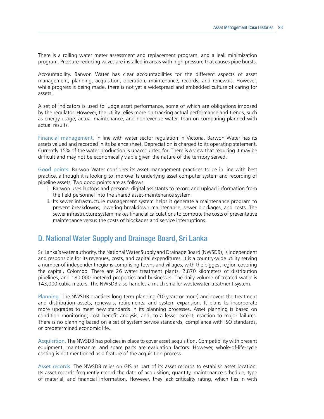There is a rolling water meter assessment and replacement program, and a leak minimization program. Pressure-reducing valves are installed in areas with high pressure that causes pipe bursts.

Accountability. Barwon Water has clear accountabilities for the different aspects of asset management, planning, acquisition, operation, maintenance, records, and renewals. However, while progress is being made, there is not yet a widespread and embedded culture of caring for assets.

A set of indicators is used to judge asset performance, some of which are obligations imposed by the regulator. However, the utility relies more on tracking actual performance and trends, such as energy usage, actual maintenance, and nonrevenue water, than on comparing planned with actual results.

Financial management. In line with water sector regulation in Victoria, Barwon Water has its assets valued and recorded in its balance sheet. Depreciation is charged to its operating statement. Currently 15% of the water production is unaccounted for. There is a view that reducing it may be difficult and may not be economically viable given the nature of the territory served.

Good points. Barwon Water considers its asset management practices to be in line with best practice, although it is looking to improve its underlying asset computer system and recording of pipeline assets. Two good points are as follows:

- i. Barwon uses laptops and personal digital assistants to record and upload information from the field personnel into the shared asset-maintenance system.
- ii. Its sewer infrastructure management system helps it generate a maintenance program to prevent breakdowns, lowering breakdown maintenance, sewer blockages, and costs. The sewer infrastructure system makes financial calculations to compute the costs of preventative maintenance versus the costs of blockages and service interruptions.

### D. National Water Supply and Drainage Board, Sri Lanka

Sri Lanka's water authority, the National Water Supply and Drainage Board (NWSDB), is independent and responsible for its revenues, costs, and capital expenditures. It is a country-wide utility serving a number of independent regions comprising towns and villages, with the biggest region covering the capital, Colombo. There are 26 water treatment plants, 2,870 kilometers of distribution pipelines, and 180,000 metered properties and businesses. The daily volume of treated water is 143,000 cubic meters. The NWSDB also handles a much smaller wastewater treatment system.

Planning. The NWSDB practices long-term planning (10 years or more) and covers the treatment and distribution assets, renewals, retirements, and system expansion. It plans to incorporate more upgrades to meet new standards in its planning processes. Asset planning is based on condition monitoring; cost–benefit analysis; and, to a lesser extent, reaction to major failures. There is no planning based on a set of system service standards, compliance with ISO standards, or predetermined economic life.

Acquisition. The NWSDB has policies in place to cover asset acquisition. Compatibility with present equipment, maintenance, and spare parts are evaluation factors. However, whole-of-life-cycle costing is not mentioned as a feature of the acquisition process.

Asset records. The NWSDB relies on GIS as part of its asset records to establish asset location. Its asset records frequently record the date of acquisition, quantity, maintenance schedule, type of material, and financial information. However, they lack criticality rating, which ties in with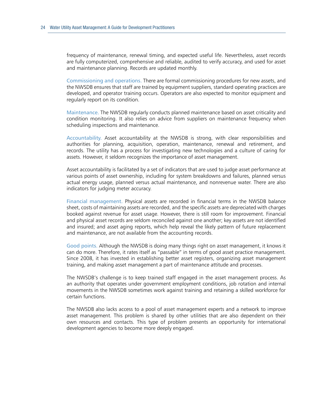frequency of maintenance, renewal timing, and expected useful life. Nevertheless, asset records are fully computerized, comprehensive and reliable, audited to verify accuracy, and used for asset and maintenance planning. Records are updated monthly.

Commissioning and operations. There are formal commissioning procedures for new assets, and the NWSDB ensures that staff are trained by equipment suppliers, standard operating practices are developed, and operator training occurs. Operators are also expected to monitor equipment and regularly report on its condition.

Maintenance. The NWSDB regularly conducts planned maintenance based on asset criticality and condition monitoring. It also relies on advice from suppliers on maintenance frequency when scheduling inspections and maintenance.

Accountability. Asset accountability at the NWSDB is strong, with clear responsibilities and authorities for planning, acquisition, operation, maintenance, renewal and retirement, and records. The utility has a process for investigating new technologies and a culture of caring for assets. However, it seldom recognizes the importance of asset management.

Asset accountability is facilitated by a set of indicators that are used to judge asset performance at various points of asset ownership, including for system breakdowns and failures, planned versus actual energy usage, planned versus actual maintenance, and nonrevenue water. There are also indicators for judging meter accuracy.

Financial management. Physical assets are recorded in financial terms in the NWSDB balance sheet, costs of maintaining assets are recorded, and the specific assets are depreciated with charges booked against revenue for asset usage. However, there is still room for improvement. Financial and physical asset records are seldom reconciled against one another; key assets are not identified and insured; and asset aging reports, which help reveal the likely pattern of future replacement and maintenance, are not available from the accounting records.

Good points. Although the NWSDB is doing many things right on asset management, it knows it can do more. Therefore, it rates itself as "passable" in terms of good asset practice management. Since 2008, it has invested in establishing better asset registers, organizing asset management training, and making asset management a part of maintenance attitude and processes.

The NWSDB's challenge is to keep trained staff engaged in the asset management process. As an authority that operates under government employment conditions, job rotation and internal movements in the NWSDB sometimes work against training and retaining a skilled workforce for certain functions.

The NWSDB also lacks access to a pool of asset management experts and a network to improve asset management. This problem is shared by other utilities that are also dependent on their own resources and contacts. This type of problem presents an opportunity for international development agencies to become more deeply engaged.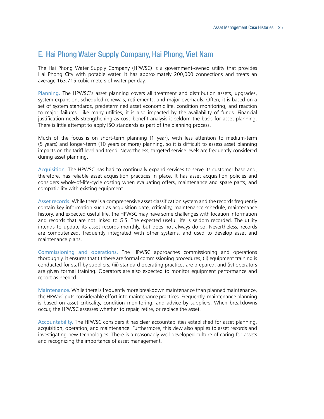## e. hai phong Water Supply Company, hai phong, Viet Nam

The Hai Phong Water Supply Company (HPWSC) is a government-owned utility that provides Hai Phong City with potable water. It has approximately 200,000 connections and treats an average 163.715 cubic meters of water per day.

Planning. The HPWSC's asset planning covers all treatment and distribution assets, upgrades, system expansion, scheduled renewals, retirements, and major overhauls. Often, it is based on a set of system standards, predetermined asset economic life, condition monitoring, and reaction to major failures. Like many utilities, it is also impacted by the availability of funds. Financial justification needs strengthening as cost–benefit analysis is seldom the basis for asset planning. There is little attempt to apply ISO standards as part of the planning process.

Much of the focus is on short-term planning (1 year), with less attention to medium-term (5 years) and longer-term (10 years or more) planning, so it is difficult to assess asset planning impacts on the tariff level and trend. Nevertheless, targeted service levels are frequently considered during asset planning.

Acquisition. The HPWSC has had to continually expand services to serve its customer base and, therefore, has reliable asset acquisition practices in place. It has asset acquisition policies and considers whole-of-life-cycle costing when evaluating offers, maintenance and spare parts, and compatibility with existing equipment.

Asset records. While there is a comprehensive asset classification system and the records frequently contain key information such as acquisition date, criticality, maintenance schedule, maintenance history, and expected useful life, the HPWSC may have some challenges with location information and records that are not linked to GIS. The expected useful life is seldom recorded. The utility intends to update its asset records monthly, but does not always do so. Nevertheless, records are computerized, frequently integrated with other systems, and used to develop asset and maintenance plans.

Commissioning and operations. The HPWSC approaches commissioning and operations thoroughly. It ensures that (i) there are formal commissioning procedures, (ii) equipment training is conducted for staff by suppliers, (iii) standard operating practices are prepared, and (iv) operators are given formal training. Operators are also expected to monitor equipment performance and report as needed.

Maintenance. While there is frequently more breakdown maintenance than planned maintenance, the HPWSC puts considerable effort into maintenance practices. Frequently, maintenance planning is based on asset criticality, condition monitoring, and advice by suppliers. When breakdowns occur, the HPWSC assesses whether to repair, retire, or replace the asset.

Accountability. The HPWSC considers it has clear accountabilities established for asset planning, acquisition, operation, and maintenance. Furthermore, this view also applies to asset records and investigating new technologies. There is a reasonably well-developed culture of caring for assets and recognizing the importance of asset management.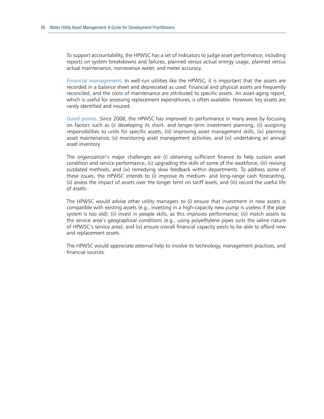To support accountability, the HPWSC has a set of indicators to judge asset performance, including reports on system breakdowns and failures, planned versus actual energy usage, planned versus actual maintenance, nonrevenue water, and meter accuracy.

Financial management. In well-run utilities like the HPWSC, it is important that the assets are recorded in a balance sheet and depreciated as used. Financial and physical assets are frequently reconciled, and the costs of maintenance are attributed to specific assets. An asset-aging report, which is useful for assessing replacement expenditures, is often available. However, key assets are rarely identified and insured.

Good points. Since 2008, the HPWSC has improved its performance in many areas by focusing on factors such as (i) developing its short- and longer-term investment planning, (ii) assigning responsibilities to units for specific assets, (iii) improving asset management skills, (iv) planning asset maintenance, (v) monitoring asset management activities, and (vi) undertaking an annual asset inventory.

The organization's major challenges are (i) obtaining sufficient finance to help sustain asset condition and service performance, (ii) upgrading the skills of some of the workforce, (iii) revising outdated methods, and (iv) remedying slow feedback within departments. To address some of these issues, the HPWSC intends to (i) improve its medium- and long-range cash forecasting, (ii) assess the impact of assets over the longer term on tariff levels, and (iii) record the useful life of assets.

The HPWSC would advise other utility managers to (i) ensure that investment in new assets is compatible with existing assets (e.g., investing in a high-capacity new pump is useless if the pipe system is too old); (ii) invest in people skills, as this improves performance; (iii) match assets to the service area's geographical conditions (e.g., using polyethylene pipes suits the saline nature of HPWSC's service area); and (iv) ensure overall financial capacity exists to be able to afford new and replacement assets.

The HPWSC would appreciate external help to involve its technology, management practices, and financial sources.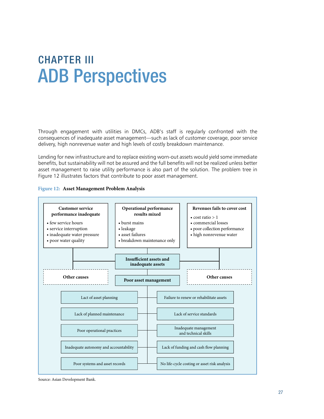## ChApTer III **ADB Perspectives**

Through engagement with utilities in DMCs, ADB's staff is regularly confronted with the consequences of inadequate asset management—such as lack of customer coverage, poor service delivery, high nonrevenue water and high levels of costly breakdown maintenance.

Lending for new infrastructure and to replace existing worn-out assets would yield some immediate benefits, but sustainability will not be assured and the full benefits will not be realized unless better asset management to raise utility performance is also part of the solution. The problem tree in Figure 12 illustrates factors that contribute to poor asset management.





Source: Asian Development Bank.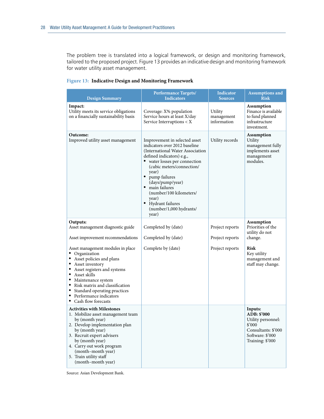The problem tree is translated into a logical framework, or design and monitoring framework, tailored to the proposed project. Figure 13 provides an indicative design and monitoring framework for water utility asset management.

|  | Figure 13: Indicative Design and Monitoring Framework |  |  |
|--|-------------------------------------------------------|--|--|
|--|-------------------------------------------------------|--|--|

| <b>Design Summary</b>                                                                                                                                                                                                                                                                                        | <b>Performance Targets/</b><br><b>Indicators</b>                                                                                                                                                                                                                                                                                                              | Indicator<br><b>Sources</b>                           | <b>Assumptions and</b><br><b>Risk</b>                                                                                          |
|--------------------------------------------------------------------------------------------------------------------------------------------------------------------------------------------------------------------------------------------------------------------------------------------------------------|---------------------------------------------------------------------------------------------------------------------------------------------------------------------------------------------------------------------------------------------------------------------------------------------------------------------------------------------------------------|-------------------------------------------------------|--------------------------------------------------------------------------------------------------------------------------------|
| Impact:<br>Utility meets its service obligations<br>on a financially sustainability basis                                                                                                                                                                                                                    | Coverage: X% population<br>Service hours at least X/day<br>Service Interruptions $\langle X \rangle$                                                                                                                                                                                                                                                          | Utility<br>management<br>information                  | <b>Assumption</b><br>Finance is available<br>to fund planned<br>infrastructure<br>investment.                                  |
| Outcome:<br>Improved utility asset management                                                                                                                                                                                                                                                                | Improvement in selected asset<br>indicators over 2012 baseline<br>(International Water Association)<br>defined indicators) e.g.,<br>• water losses per connection<br>(cubic meters/connection/<br>year)<br>pump failures<br>(days/pump/year)<br>· main failures<br>(number/100 kilometers/<br>year)<br>• Hydrant failures<br>(number/1,000 hydrants/<br>year) | Utility records                                       | <b>Assumption</b><br>Utility<br>management fully<br>implements asset<br>management<br>modules.                                 |
| Outputs:<br>Asset management diagnostic guide<br>Asset improvement recommendations                                                                                                                                                                                                                           | Completed by (date)<br>Completed by (date)                                                                                                                                                                                                                                                                                                                    | Project reports<br>Project reports<br>Project reports | <b>Assumption</b><br>Priorities of the<br>utility do not<br>change.<br>Risk                                                    |
| Asset management modules in place<br>• Organization<br>• Asset policies and plans<br>• Asset inventory<br>• Asset registers and systems<br>• Asset skills<br>• Maintenance system<br>• Risk matrix and classification<br>• Standard operating practices<br>• Performance indicators<br>• Cash flow forecasts | Complete by (date)                                                                                                                                                                                                                                                                                                                                            |                                                       | Key utility<br>management and<br>staff may change.                                                                             |
| <b>Activities with Milestones</b><br>1. Mobilize asset management team<br>by (month year)<br>2. Develop implementation plan<br>by (month year)<br>3. Recruit expert advisers<br>by (month year)<br>4. Carry out work program<br>(month-month year)<br>5. Train utility staff<br>(month-month year)           |                                                                                                                                                                                                                                                                                                                                                               |                                                       | Inputs:<br>ADB: \$'000<br>Utility personnel:<br>$$^{\prime}000$<br>Consultants: \$'000<br>Software: \$'000<br>Training: \$'000 |

Source: Asian Development Bank.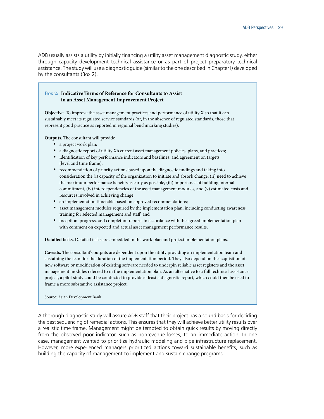ADB usually assists a utility by initially financing a utility asset management diagnostic study, either through capacity development technical assistance or as part of project preparatory technical assistance. The study will use a diagnostic guide (similar to the one described in Chapter I) developed by the consultants (Box 2).

#### **Box 2: Indicative Terms of Reference for Consultants to Assist in an Asset Management Improvement Project**

**Objective.** To improve the asset management practices and performance of utility X so that it can sustainably meet its regulated service standards (or, in the absence of regulated standards, those that represent good practice as reported in regional benchmarking studies).

**Outputs.** The consultant will provide

- a project work plan;
- • a diagnostic report of utility X's current asset management policies, plans, and practices;
- identification of key performance indicators and baselines, and agreement on targets (level and time frame);
- recommendation of priority actions based upon the diagnostic findings and taking into consideration the (i) capacity of the organization to initiate and absorb change, (ii) need to achieve the maximum performance benefits as early as possible, (iii) importance of building internal commitment, (iv) interdependencies of the asset management modules, and (v) estimated costs and resources involved in achieving change;
- an implementation timetable based on approved recommendations;
- asset management modules required by the implementation plan, including conducting awareness training for selected management and staff; and
- inception, progress, and completion reports in accordance with the agreed implementation plan with comment on expected and actual asset management performance results.

**Detailed tasks.** Detailed tasks are embedded in the work plan and project implementation plans.

Caveats. The consultant's outputs are dependent upon the utility providing an implementation team and sustaining the team for the duration of the implementation period. They also depend on the acquisition of new software or modification of existing software needed to underpin reliable asset registers and the asset management modules referred to in the implementation plan. As an alternative to a full technical assistance project, a pilot study could be conducted to provide at least a diagnostic report, which could then be used to frame a more substantive assistance project.

Source: Asian Development Bank.

A thorough diagnostic study will assure ADB staff that their project has a sound basis for deciding the best sequencing of remedial actions. This ensures that they will achieve better utility results over a realistic time frame. Management might be tempted to obtain quick results by moving directly from the observed poor indicator, such as nonrevenue losses, to an immediate action. In one case, management wanted to prioritize hydraulic modeling and pipe infrastructure replacement. However, more experienced managers prioritized actions toward sustainable benefits, such as building the capacity of management to implement and sustain change programs.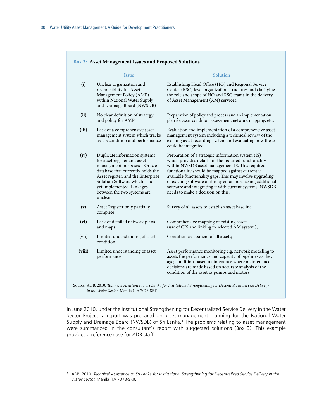|        | <b>Issue</b>                                                                                                                                                                                                                                                                     | <b>Solution</b>                                                                                                                                                                                                                                                                                                                                                                                                                               |
|--------|----------------------------------------------------------------------------------------------------------------------------------------------------------------------------------------------------------------------------------------------------------------------------------|-----------------------------------------------------------------------------------------------------------------------------------------------------------------------------------------------------------------------------------------------------------------------------------------------------------------------------------------------------------------------------------------------------------------------------------------------|
| (i)    | Unclear organization and<br>responsibility for Asset<br>Management Policy (AMP)<br>within National Water Supply<br>and Drainage Board (NWSDB)                                                                                                                                    | Establishing Head Office (HO) and Regional Service<br>Center (RSC) level organization structures and clarifying<br>the role and scope of HO and RSC teams in the delivery<br>of Asset Management (AM) services;                                                                                                                                                                                                                               |
| (ii)   | No clear definition of strategy<br>and policy for AMP                                                                                                                                                                                                                            | Preparation of policy and process and an implementation<br>plan for asset condition assessment, network mapping, etc.;                                                                                                                                                                                                                                                                                                                        |
| (iii)  | Lack of a comprehensive asset<br>management system which tracks<br>assets condition and performance                                                                                                                                                                              | Evaluation and implementation of a comprehensive asset<br>management system including a technical review of the<br>existing asset recording system and evaluating how these<br>could be integrated;                                                                                                                                                                                                                                           |
| (iv)   | Duplicate information systems<br>for asset register and asset<br>management purposes-Oracle<br>database that currently holds the<br>Asset register, and the Enterprise<br>Solution Software which is not<br>yet implemented. Linkages<br>between the two systems are<br>unclear. | Preparation of a strategic information system (IS)<br>which provides details for the required functionality<br>within NWSDB asset management IS. This required<br>functionality should be mapped against currently<br>available functionality gaps. This may involve upgrading<br>of existing software or it may entail purchasing additional<br>software and integrating it with current systems. NWSDB<br>needs to make a decision on this. |
| (v)    | Asset Register only partially<br>complete                                                                                                                                                                                                                                        | Survey of all assets to establish asset baseline;                                                                                                                                                                                                                                                                                                                                                                                             |
| (vi)   | Lack of detailed network plans<br>and maps                                                                                                                                                                                                                                       | Comprehensive mapping of existing assets<br>(use of GIS and linking to selected AM system);                                                                                                                                                                                                                                                                                                                                                   |
| (vii)  | Limited understanding of asset<br>condition                                                                                                                                                                                                                                      | Condition assessment of all assets;                                                                                                                                                                                                                                                                                                                                                                                                           |
| (viii) | Limited understanding of asset<br>performance                                                                                                                                                                                                                                    | Asset performance monitoring e.g. network modeling to<br>assets the performance and capacity of pipelines as they<br>age; condition-based maintenance where maintenance<br>decisions are made based on accurate analysis of the<br>condition of the asset as pumps and motors.                                                                                                                                                                |

In June 2010, under the Institutional Strengthening for Decentralized Service Delivery in the Water Sector Project, a report was prepared on asset management planning for the National Water Supply and Drainage Board (NWSDB) of Sri Lanka.<sup>3</sup> The problems relating to asset management were summarized in the consultant's report with suggested solutions (Box 3). This example provides a reference case for ADB staff.

<sup>&</sup>lt;sup>3</sup> ADB. 2010. *Technical Assistance to Sri Lanka for Institutional Strengthening for Decentralized Service Delivery in the Water Sector.* Manila (TA 7078-SRI).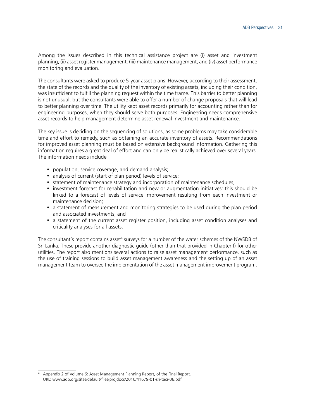Among the issues described in this technical assistance project are (i) asset and investment planning, (ii) asset register management, (iii) maintenance management, and (iv) asset performance monitoring and evaluation.

The consultants were asked to produce 5-year asset plans. However, according to their assessment, the state of the records and the quality of the inventory of existing assets, including their condition, was insufficient to fulfill the planning request within the time frame. This barrier to better planning is not unusual, but the consultants were able to offer a number of change proposals that will lead to better planning over time. The utility kept asset records primarily for accounting rather than for engineering purposes, when they should serve both purposes. Engineering needs comprehensive asset records to help management determine asset renewal investment and maintenance.

The key issue is deciding on the sequencing of solutions, as some problems may take considerable time and effort to remedy, such as obtaining an accurate inventory of assets. Recommendations for improved asset planning must be based on extensive background information. Gathering this information requires a great deal of effort and can only be realistically achieved over several years. The information needs include

- population, service coverage, and demand analysis;
- analysis of current (start of plan period) levels of service;
- statement of maintenance strategy and incorporation of maintenance schedules;
- investment forecast for rehabilitation and new or augmentation initiatives; this should be linked to a forecast of levels of service improvement resulting from each investment or maintenance decision;
- a statement of measurement and monitoring strategies to be used during the plan period and associated investments; and
- a statement of the current asset register position, including asset condition analyses and criticality analyses for all assets.

The consultant's report contains asset<sup>4</sup> surveys for a number of the water schemes of the NWSDB of Sri Lanka. These provide another diagnostic guide (other than that provided in Chapter I) for other utilities. The report also mentions several actions to raise asset management performance, such as the use of training sessions to build asset management awareness and the setting up of an asset management team to oversee the implementation of the asset management improvement program.

Appendix 2 of Volume 6: Asset Management Planning Report, of the Final Report. URL: www.adb.org/sites/default/files/projdocs/2010/41679-01-sri-tacr-06.pdf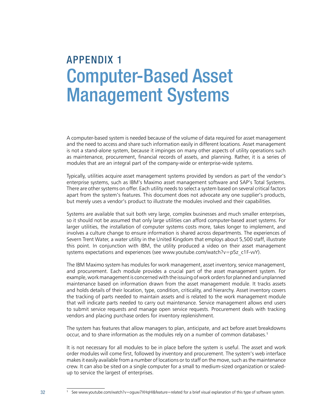## AppeNDIx 1 Computer-Based Asset Management Systems

A computer-based system is needed because of the volume of data required for asset management and the need to access and share such information easily in different locations. Asset management is not a stand-alone system, because it impinges on many other aspects of utility operations such as maintenance, procurement, financial records of assets, and planning. Rather, it is a series of modules that are an integral part of the company-wide or enterprise-wide systems.

Typically, utilities acquire asset management systems provided by vendors as part of the vendor's enterprise systems, such as IBM's Maximo asset management software and SAP's Total Systems. There are other systems on offer. Each utility needs to select a system based on several critical factors apart from the system's features. This document does not advocate any one supplier's products, but merely uses a vendor's product to illustrate the modules involved and their capabilities.

Systems are available that suit both very large, complex businesses and much smaller enterprises, so it should not be assumed that only large utilities can afford computer-based asset systems. For larger utilities, the installation of computer systems costs more, takes longer to implement, and involves a culture change to ensure information is shared across departments. The experiences of Severn Trent Water, a water utility in the United Kingdom that employs about 5,500 staff, illustrate this point. In conjunction with IBM, the utility produced a video on their asset management systems expectations and experiences (see www.youtube.com/watch?v=p5z\_c1F-vvY).

The IBM Maximo system has modules for work management, asset inventory, service management, and procurement. Each module provides a crucial part of the asset management system. For example, work management is concerned with the issuing of work orders for planned and unplanned maintenance based on information drawn from the asset management module. It tracks assets and holds details of their location, type, condition, criticality, and hierarchy. Asset inventory covers the tracking of parts needed to maintain assets and is related to the work management module that will indicate parts needed to carry out maintenance. Service management allows end users to submit service requests and manage open service requests. Procurement deals with tracking vendors and placing purchase orders for inventory replenishment.

The system has features that allow managers to plan, anticipate, and act before asset breakdowns occur, and to share information as the modules rely on a number of common databases.<sup>1</sup>

It is not necessary for all modules to be in place before the system is useful. The asset and work order modules will come first, followed by inventory and procurement. The system's web interface makes it easily available from a number of locations or to staff on the move, such as the maintenance crew. It can also be sited on a single computer for a small to medium-sized organization or scaledup to service the largest of enterprises.

<sup>1</sup> See www.youtube.com/watch?v=oguxv7XHqHI&feature=related for a brief visual explanation of this type of software system.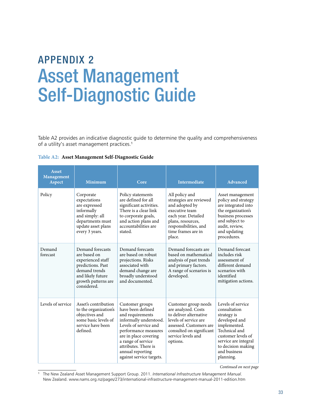## AppeNDIx 2 Asset Management Self-Diagnostic Guide

Table A2 provides an indicative diagnostic guide to determine the quality and comprehensiveness of a utility's asset management practices.<sup>1</sup>

|  | Table A2: Asset Management Self-Diagnostic Guide |  |  |
|--|--------------------------------------------------|--|--|
|--|--------------------------------------------------|--|--|

| <b>Asset</b><br><b>Management</b><br><b>Aspect</b> | <b>Minimum</b>                                                                                                                                         | Core                                                                                                                                                                                                                                                       | <b>Intermediate</b>                                                                                                                                                                     | Advanced                                                                                                                                                                                            |
|----------------------------------------------------|--------------------------------------------------------------------------------------------------------------------------------------------------------|------------------------------------------------------------------------------------------------------------------------------------------------------------------------------------------------------------------------------------------------------------|-----------------------------------------------------------------------------------------------------------------------------------------------------------------------------------------|-----------------------------------------------------------------------------------------------------------------------------------------------------------------------------------------------------|
| Policy                                             | Corporate<br>expectations<br>are expressed<br>informally<br>and simply: all<br>departments must<br>update asset plans<br>every 3 years.                | Policy statements<br>are defined for all<br>significant activities.<br>There is a clear link<br>to corporate goals,<br>and action plans and<br>accountabilities are<br>stated.                                                                             | All policy and<br>strategies are reviewed<br>and adopted by<br>executive team<br>each year. Detailed<br>plans, resources,<br>responsibilities, and<br>time frames are in<br>place.      | Asset management<br>policy and strategy<br>are integrated into<br>the organization's<br>business processes<br>and subject to<br>audit, review,<br>and updating<br>procedures.                       |
| Demand<br>forecast                                 | Demand forecasts<br>are based on<br>experienced staff<br>predictions. Past<br>demand trends<br>and likely future<br>growth patterns are<br>considered. | Demand forecasts<br>are based on robust<br>projections. Risks<br>associated with<br>demand change are<br>broadly understood<br>and documented.                                                                                                             | Demand forecasts are<br>based on mathematical<br>analysis of past trends<br>and primary factors.<br>A range of scenarios is<br>developed.                                               | Demand forecast<br>includes risk<br>assessment of<br>different demand<br>scenarios with<br>identified<br>mitigation actions.                                                                        |
| Levels of service                                  | Asset's contribution<br>to the organization's<br>objectives and<br>some basic levels of<br>service have been<br>defined.                               | Customer groups<br>have been defined<br>and requirements<br>informally understood.<br>Levels of service and<br>performance measures<br>are in place covering<br>a range of service<br>attributes. There is<br>annual reporting<br>against service targets. | Customer group needs<br>are analyzed. Costs<br>to deliver alternative<br>levels of service are<br>assessed. Customers are<br>consulted on significant<br>service levels and<br>options. | Levels of service<br>consultation<br>strategy is<br>developed and<br>implemented.<br>Technical and<br>customer levels of<br>service are integral<br>to decision making<br>and business<br>planning. |

*Continued on next page*

<sup>1</sup> The New Zealand Asset Management Support Group. 2011. *International Infrastructure Management Manual*. New Zealand. www.nams.org.nz/pages/273/international-infrastructure-management-manual-2011-edition.htm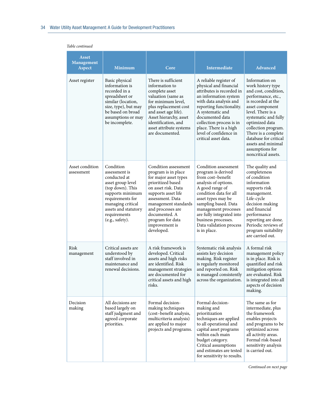| <b>Asset</b><br><b>Management</b><br>Aspect | <b>Minimum</b>                                                                                                                                                                                              | Core                                                                                                                                                                                                                                                                          | <b>Intermediate</b>                                                                                                                                                                                                                                                                                         | <b>Advanced</b>                                                                                                                                                                                                                                                                                                                  |
|---------------------------------------------|-------------------------------------------------------------------------------------------------------------------------------------------------------------------------------------------------------------|-------------------------------------------------------------------------------------------------------------------------------------------------------------------------------------------------------------------------------------------------------------------------------|-------------------------------------------------------------------------------------------------------------------------------------------------------------------------------------------------------------------------------------------------------------------------------------------------------------|----------------------------------------------------------------------------------------------------------------------------------------------------------------------------------------------------------------------------------------------------------------------------------------------------------------------------------|
| Asset register                              | Basic physical<br>information is<br>recorded in a<br>spreadsheet or<br>similar (location,<br>size, type), but may<br>be based on broad<br>assumptions or may<br>be incomplete.                              | There is sufficient<br>information to<br>complete asset<br>valuation (same as<br>for minimum level,<br>plus replacement cost<br>and asset age life).<br>Asset hierarchy, asset<br>identification, and<br>asset attribute systems<br>are documented.                           | A reliable register of<br>physical and financial<br>attributes is recorded in<br>an information system<br>with data analysis and<br>reporting functionality.<br>A systematic and<br>documented data<br>collection process is in<br>place. There is a high<br>level of confidence in<br>critical asset data. | Information on<br>work history type<br>and cost, condition,<br>performance, etc.,<br>is recorded at the<br>asset component<br>level. There is a<br>systematic and fully<br>optimized data<br>collection program.<br>There is a complete<br>database for critical<br>assets and minimal<br>assumptions for<br>noncritical assets. |
| Asset condition<br>assessment               | Condition<br>assessment is<br>conducted at<br>asset group level<br>(top down). This<br>supports minimum<br>requirements for<br>managing critical<br>assets and statutory<br>requirements<br>(e.g., safety). | Condition assessment<br>program is in place<br>for major asset types<br>prioritized based<br>on asset risk. Data<br>supports asset life<br>assessment. Data<br>management standards<br>and processes are<br>documented. A<br>program for data<br>improvement is<br>developed. | Condition assessment<br>program is derived<br>from cost-benefit<br>analysis of options.<br>A good range of<br>condition data for all<br>asset types may be<br>sampling based. Data<br>management processes<br>are fully integrated into<br>business processes.<br>Data validation process<br>is in place.   | The quality and<br>completeness<br>of condition<br>information<br>supports risk<br>management.<br>Life-cycle<br>decision making<br>and financial<br>performance<br>reporting are done.<br>Periodic reviews of<br>program suitability<br>are carried out.                                                                         |
| Risk<br>management                          | Critical assets are<br>understood by<br>staff involved in<br>maintenance and<br>renewal decisions.                                                                                                          | A risk framework is<br>developed. Critical<br>assets and high risks<br>are identified. Risk<br>management strategies<br>are documented for<br>critical assets and high<br>risks.                                                                                              | Systematic risk analysis<br>assists key decision<br>making. Risk register<br>is regularly monitored<br>and reported on. Risk<br>is managed consistently<br>across the organization.                                                                                                                         | A formal risk<br>management policy<br>is in place. Risk is<br>quantified and risk<br>mitigation options<br>are evaluated. Risk<br>is integrated into all<br>aspects of decision<br>making.                                                                                                                                       |
| Decision<br>making                          | All decisions are<br>based largely on<br>staff judgment and<br>agreed corporate<br>priorities.                                                                                                              | Formal decision-<br>making techniques<br>(cost-benefit analysis,<br>multicriteria analysis)<br>are applied to major<br>projects and programs.                                                                                                                                 | Formal decision-<br>making and<br>prioritization<br>techniques are applied<br>to all operational and<br>capital asset programs<br>within each main<br>budget category.<br>Critical assumptions<br>and estimates are tested<br>for sensitivity to results.                                                   | The same as for<br>intermediate, plus<br>the framework<br>enables projects<br>and programs to be<br>optimized across<br>all activity areas.<br>Formal risk-based<br>sensitivity analysis<br>is carried out.                                                                                                                      |

*Continued on next page*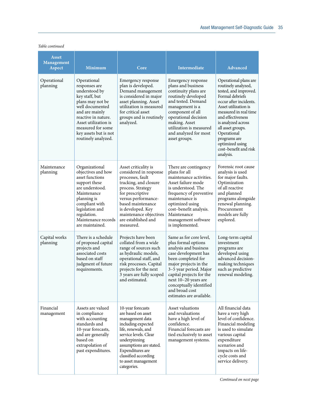| <b>Asset</b><br>Management<br><b>Aspect</b> | <b>Minimum</b>                                                                                                                                                                                                                               | Core                                                                                                                                                                                                                                                                | <b>Intermediate</b>                                                                                                                                                                                                                                                                                   | <b>Advanced</b>                                                                                                                                                                                                                                                                                                             |
|---------------------------------------------|----------------------------------------------------------------------------------------------------------------------------------------------------------------------------------------------------------------------------------------------|---------------------------------------------------------------------------------------------------------------------------------------------------------------------------------------------------------------------------------------------------------------------|-------------------------------------------------------------------------------------------------------------------------------------------------------------------------------------------------------------------------------------------------------------------------------------------------------|-----------------------------------------------------------------------------------------------------------------------------------------------------------------------------------------------------------------------------------------------------------------------------------------------------------------------------|
| Operational<br>planning                     | Operational<br>responses are<br>understood by<br>key staff, but<br>plans may not be<br>well documented<br>and are mainly<br>reactive in nature.<br>Asset utilization is<br>measured for some<br>key assets but is not<br>routinely analyzed. | Emergency response<br>plan is developed.<br>Demand management<br>is considered in major<br>asset planning. Asset<br>utilization is measured<br>for critical asset<br>groups and is routinely<br>analyzed.                                                           | Emergency response<br>plans and business<br>continuity plans are<br>routinely developed<br>and tested. Demand<br>management is a<br>component of all<br>operational decision<br>making. Asset<br>utilization is measured<br>and analyzed for most<br>asset groups.                                    | Operational plans are<br>routinely analyzed,<br>tested, and improved.<br>Formal debriefs<br>occur after incidents.<br>Asset utilization is<br>measured in real time<br>and effectiveness<br>is analyzed across<br>all asset groups.<br>Operational<br>programs are<br>optimized using<br>cost-benefit and risk<br>analysis. |
| Maintenance<br>planning                     | Organizational<br>objectives and how<br>asset functions<br>support these<br>are understood.<br>Maintenance<br>planning is<br>compliant with<br>legislation and<br>regulation.<br>Maintenance records<br>are maintained.                      | Asset criticality is<br>considered in response<br>processes, fault<br>tracking, and closure<br>process. Strategy<br>for prescriptive<br>versus performance-<br>based maintenance<br>is developed. Key<br>maintenance objectives<br>are established and<br>measured. | There are contingency<br>plans for all<br>maintenance activities.<br>Asset failure mode<br>is understood. The<br>frequency of preventive<br>maintenance is<br>optimized using<br>cost-benefit analysis.<br>Maintenance<br>management software<br>is implemented.                                      | Forensic root cause<br>analysis is used<br>for major faults.<br>Optimization<br>of all reactive<br>and planned<br>programs alongside<br>renewal planning.<br>Procurement<br>models are fully<br>explored.                                                                                                                   |
| Capital works<br>planning                   | There is a schedule<br>of proposed capital<br>projects and<br>associated costs<br>based on staff<br>judgment of future<br>requirements.                                                                                                      | Projects have been<br>collated from a wide<br>range of sources such<br>as hydraulic models,<br>operational staff, and<br>risk processes. Capital<br>projects for the next<br>3 years are fully scoped<br>and estimated.                                             | Same as for core level,<br>plus formal options<br>analysis and business<br>case development has<br>been completed for<br>major projects in the<br>3-5 year period. Major<br>capital projects for the<br>next 10-20 years are<br>conceptually identified<br>and broad cost<br>estimates are available. | Long-term capital<br>investment<br>programs are<br>developed using<br>advanced decision-<br>making techniques<br>such as predictive<br>renewal modeling.                                                                                                                                                                    |
| Financial<br>management                     | Assets are valued<br>in compliance<br>with accounting<br>standards and<br>10-year forecasts,<br>and are generally<br>based on<br>extrapolation of<br>past expenditures.                                                                      | 10-year forecasts<br>are based on asset<br>management data<br>including expected<br>life, renewals, and<br>service levels. Clear<br>underpinning<br>assumptions are stated.<br>Expenditures are<br>classified according<br>to asset management<br>categories.       | Asset valuations<br>and revaluations<br>have a high level of<br>confidence.<br>Financial forecasts are<br>tied exclusively to asset<br>management systems.                                                                                                                                            | All financial data<br>have a very high<br>level of confidence.<br>Financial modeling<br>is used to simulate<br>various capital<br>expenditure<br>scenarios and<br>impacts on life-<br>cycle costs and<br>service delivery.                                                                                                  |

*Table continued*

*Continued on next page*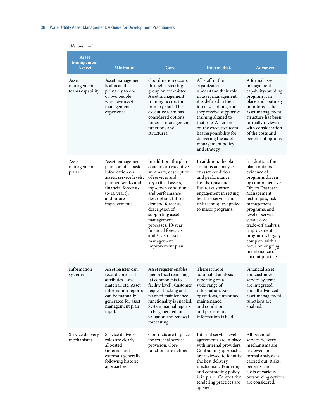#### *Table continued*

| <b>Asset</b><br><b>Management</b><br>Aspect | <b>Minimum</b>                                                                                                                                                                              | Core                                                                                                                                                                                                                                                                                                                                                            | <b>Intermediate</b>                                                                                                                                                                                                                                                                                                            | <b>Advanced</b>                                                                                                                                                                                                                                                                                                                                          |
|---------------------------------------------|---------------------------------------------------------------------------------------------------------------------------------------------------------------------------------------------|-----------------------------------------------------------------------------------------------------------------------------------------------------------------------------------------------------------------------------------------------------------------------------------------------------------------------------------------------------------------|--------------------------------------------------------------------------------------------------------------------------------------------------------------------------------------------------------------------------------------------------------------------------------------------------------------------------------|----------------------------------------------------------------------------------------------------------------------------------------------------------------------------------------------------------------------------------------------------------------------------------------------------------------------------------------------------------|
| Asset<br>management<br>teams capability     | Asset management<br>is allocated<br>primarily to one<br>or two people<br>who have asset<br>management<br>experience.                                                                        | Coordination occurs<br>through a steering<br>group or committee.<br>Asset management<br>training occurs for<br>primary staff. The<br>executive team has<br>considered options<br>for asset management<br>functions and<br>structures.                                                                                                                           | All staff in the<br>organization<br>understand their role<br>in asset management,<br>it is defined in their<br>job descriptions, and<br>they receive supportive<br>training aligned to<br>that role. A person<br>on the executive team<br>has responsibility for<br>delivering the asset<br>management policy<br>and strategy. | A formal asset<br>management<br>capability-building<br>program is in<br>place and routinely<br>monitored. The<br>asset management<br>structure has been<br>formally reviewed<br>with consideration<br>of the costs and<br>benefits of options.                                                                                                           |
| Asset<br>management<br>plans                | Asset management<br>plan contains basic<br>information on<br>assets, service levels,<br>planned works and<br>financial forecasts<br>$(5-10 \text{ years})$ ,<br>and future<br>improvements. | In addition, the plan<br>contains an executive<br>summary, description<br>of services and<br>key critical assets,<br>top-down condition<br>and performance<br>description, future<br>demand forecasts,<br>description of<br>supporting asset<br>management<br>processes, 10-year<br>financial forecasts,<br>and 3-year asset<br>management<br>improvement plan. | In addition, the plan<br>contains an analysis<br>of asset condition<br>and performance<br>trends, (past and<br>future) customer<br>engagement in setting<br>levels of service, and<br>risk techniques applied<br>to major programs.                                                                                            | In addition, the<br>plan contains<br>evidence of<br>programs driven<br>by comprehensive<br>Object Database<br>Management<br>techniques, risk<br>management<br>programs, and<br>level of service<br>versus cost<br>trade-off analysis.<br>Improvement<br>program is largely<br>complete with a<br>focus on ongoing<br>maintenance of<br>current practice. |
| Information<br>systems                      | Asset resister can<br>record core asset<br>attributes—size,<br>material, etc. Asset<br>information reports<br>can be manually<br>generated for asset<br>management plan<br>input.           | Asset register enables<br>hierarchical reporting<br>(at components to<br>facility level). Customer<br>request tracking and<br>planned maintenance<br>functionality is enabled.<br>System manual reports<br>to be generated for<br>valuation and renewal<br>forecasting.                                                                                         | There is more<br>automated analysis<br>reporting on a<br>wide range of<br>information. Key<br>operations, unplanned<br>maintenance,<br>and condition<br>and performance<br>information is held.                                                                                                                                | Financial asset<br>and customer<br>service systems<br>are integrated<br>and all advanced<br>asset management<br>functions are<br>enabled.                                                                                                                                                                                                                |
| Service delivery<br>mechanisms              | Service delivery<br>roles are clearly<br>allocated<br>(internal and<br>external) generally<br>following historic<br>approaches.                                                             | Contracts are in place<br>for external service<br>provision. Core<br>functions are defined.                                                                                                                                                                                                                                                                     | Internal service level<br>agreements are in place<br>with internal providers.<br>Contracting approaches<br>are reviewed to identify<br>the best delivery<br>mechanism. Tendering<br>and contracting policy<br>is in place. Competitive<br>tendering practices are<br>applied.                                                  | All potential<br>service delivery<br>mechanisms are<br>reviewed and<br>formal analysis is<br>carried out. Risks,<br>benefits, and<br>costs of various<br>outsourcing options<br>are considered.                                                                                                                                                          |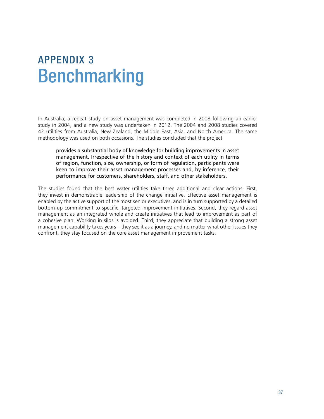## AppeNDIx 3 Benchmarking

In Australia, a repeat study on asset management was completed in 2008 following an earlier study in 2004, and a new study was undertaken in 2012. The 2004 and 2008 studies covered 42 utilities from Australia, New Zealand, the Middle East, Asia, and North America. The same methodology was used on both occasions. The studies concluded that the project

provides a substantial body of knowledge for building improvements in asset management. Irrespective of the history and context of each utility in terms of region, function, size, ownership, or form of regulation, participants were keen to improve their asset management processes and, by inference, their performance for customers, shareholders, staff, and other stakeholders.

The studies found that the best water utilities take three additional and clear actions. First, they invest in demonstrable leadership of the change initiative. Effective asset management is enabled by the active support of the most senior executives, and is in turn supported by a detailed bottom-up commitment to specific, targeted improvement initiatives. Second, they regard asset management as an integrated whole and create initiatives that lead to improvement as part of a cohesive plan. Working in silos is avoided. Third, they appreciate that building a strong asset management capability takes years—they see it as a journey, and no matter what other issues they confront, they stay focused on the core asset management improvement tasks.